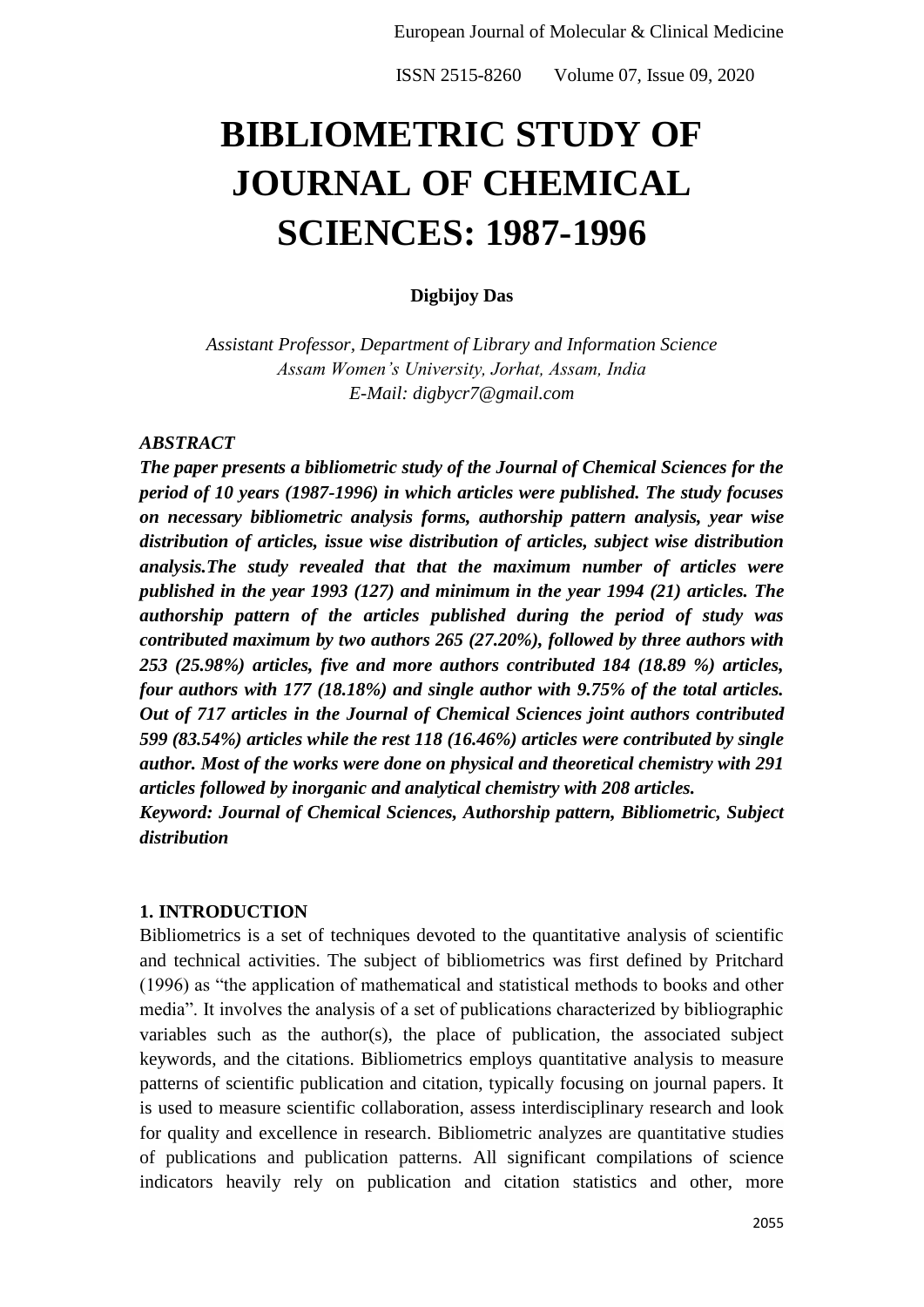# **BIBLIOMETRIC STUDY OF JOURNAL OF CHEMICAL SCIENCES: 1987-1996**

#### **Digbijoy Das**

*Assistant Professor, Department of Library and Information Science Assam Women's University, Jorhat, Assam, India E-Mail: digbycr7@gmail.com*

#### *ABSTRACT*

*The paper presents a bibliometric study of the Journal of Chemical Sciences for the period of 10 years (1987-1996) in which articles were published. The study focuses on necessary bibliometric analysis forms, authorship pattern analysis, year wise distribution of articles, issue wise distribution of articles, subject wise distribution analysis.The study revealed that that the maximum number of articles were published in the year 1993 (127) and minimum in the year 1994 (21) articles. The authorship pattern of the articles published during the period of study was contributed maximum by two authors 265 (27.20%), followed by three authors with 253 (25.98%) articles, five and more authors contributed 184 (18.89 %) articles, four authors with 177 (18.18%) and single author with 9.75% of the total articles. Out of 717 articles in the Journal of Chemical Sciences joint authors contributed 599 (83.54%) articles while the rest 118 (16.46%) articles were contributed by single author. Most of the works were done on physical and theoretical chemistry with 291 articles followed by inorganic and analytical chemistry with 208 articles.*

*Keyword: Journal of Chemical Sciences, Authorship pattern, Bibliometric, Subject distribution*

#### **1. INTRODUCTION**

Bibliometrics is a set of techniques devoted to the quantitative analysis of scientific and technical activities. The subject of bibliometrics was first defined by Pritchard  $(1996)$  as "the application of mathematical and statistical methods to books and other media‖. It involves the analysis of a set of publications characterized by bibliographic variables such as the author(s), the place of publication, the associated subject keywords, and the citations. Bibliometrics employs quantitative analysis to measure patterns of scientific publication and citation, typically focusing on journal papers. It is used to measure scientific collaboration, assess interdisciplinary research and look for quality and excellence in research. Bibliometric analyzes are quantitative studies of publications and publication patterns. All significant compilations of science indicators heavily rely on publication and citation statistics and other, more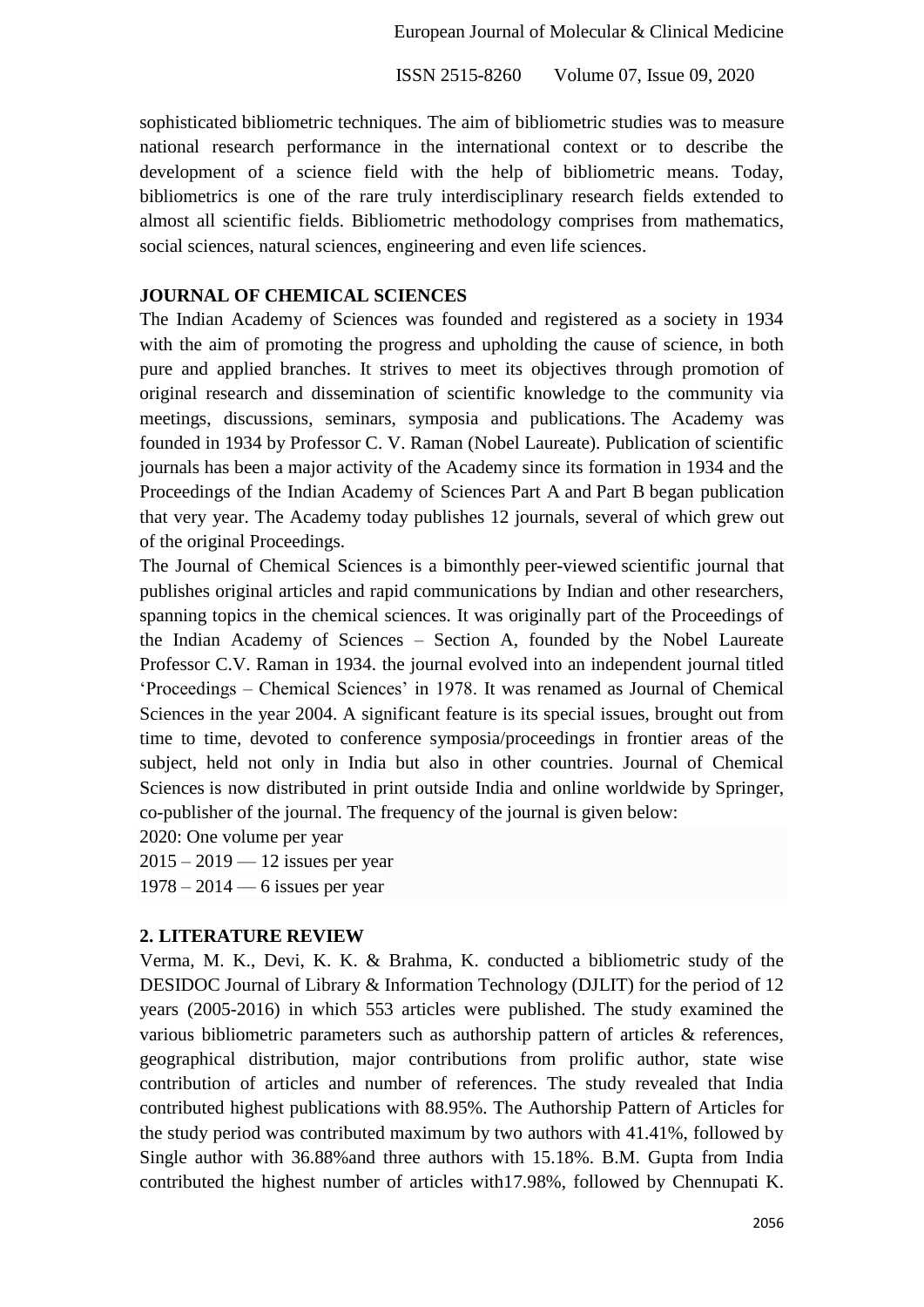sophisticated bibliometric techniques. The aim of bibliometric studies was to measure national research performance in the international context or to describe the development of a science field with the help of bibliometric means. Today, bibliometrics is one of the rare truly interdisciplinary research fields extended to almost all scientific fields. Bibliometric methodology comprises from mathematics, social sciences, natural sciences, engineering and even life sciences.

#### **JOURNAL OF CHEMICAL SCIENCES**

The Indian Academy of Sciences was founded and registered as a society in 1934 with the aim of promoting the progress and upholding the cause of science, in both pure and applied branches. It strives to meet its objectives through promotion of original research and dissemination of scientific knowledge to the community via meetings, discussions, seminars, symposia and publications. The Academy was founded in 1934 by Professor C. V. Raman (Nobel Laureate). Publication of scientific journals has been a major activity of the Academy since its formation in 1934 and the Proceedings of the Indian Academy of Sciences Part A and Part B began publication that very year. The Academy today publishes 12 journals, several of which grew out of the original Proceedings.

The Journal of Chemical Sciences is a bimonthly peer-viewed scientific journal that publishes original articles and rapid communications by Indian and other researchers, spanning topics in the chemical sciences. It was originally part of the Proceedings of the Indian Academy of Sciences – Section A, founded by the Nobel Laureate Professor C.V. Raman in 1934. the journal evolved into an independent journal titled ‗Proceedings – Chemical Sciences' in 1978. It was renamed as Journal of Chemical Sciences in the year 2004. A significant feature is its special issues, brought out from time to time, devoted to conference symposia/proceedings in frontier areas of the subject, held not only in India but also in other countries. Journal of Chemical Sciences is now distributed in print outside India and online worldwide by Springer, co-publisher of the journal. The frequency of the journal is given below:

2020: One volume per year

2015 – 2019 — 12 issues per year 1978 – 2014 — 6 issues per year

## **2. LITERATURE REVIEW**

Verma, M. K., Devi, K. K. & Brahma, K. conducted a bibliometric study of the DESIDOC Journal of Library & Information Technology (DJLIT) for the period of 12 years (2005-2016) in which 553 articles were published. The study examined the various bibliometric parameters such as authorship pattern of articles & references, geographical distribution, major contributions from prolific author, state wise contribution of articles and number of references. The study revealed that India contributed highest publications with 88.95%. The Authorship Pattern of Articles for the study period was contributed maximum by two authors with 41.41%, followed by Single author with 36.88%and three authors with 15.18%. B.M. Gupta from India contributed the highest number of articles with17.98%, followed by Chennupati K.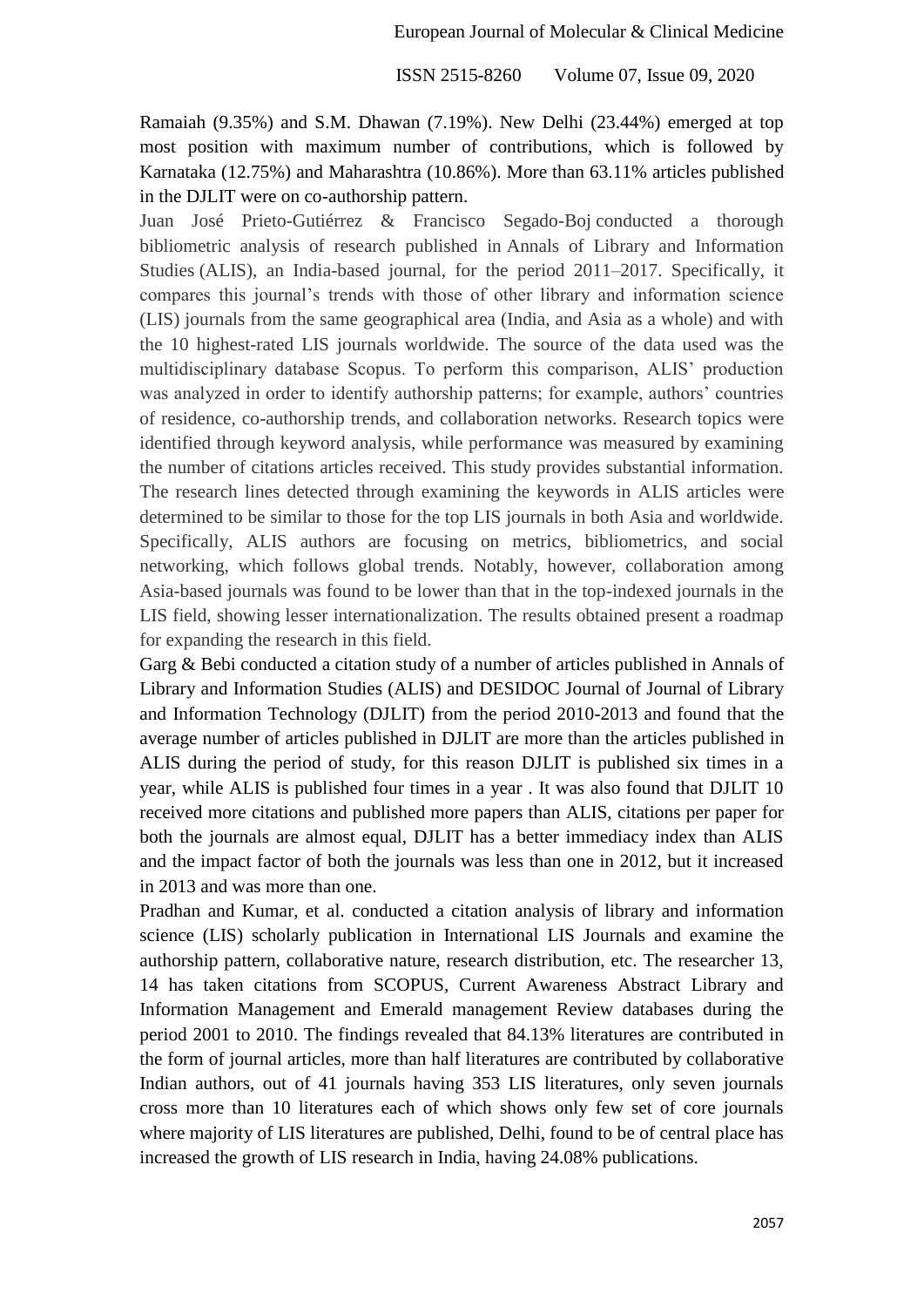Ramaiah (9.35%) and S.M. Dhawan (7.19%). New Delhi (23.44%) emerged at top most position with maximum number of contributions, which is followed by Karnataka (12.75%) and Maharashtra (10.86%). More than 63.11% articles published in the DJLIT were on co-authorship pattern.

Juan José Prieto-Gutiérrez & Francisco Segado-Boj conducted a thorough bibliometric analysis of research published in Annals of Library and Information Studies (ALIS), an India-based journal, for the period 2011–2017. Specifically, it compares this journal's trends with those of other library and information science (LIS) journals from the same geographical area (India, and Asia as a whole) and with the 10 highest-rated LIS journals worldwide. The source of the data used was the multidisciplinary database Scopus. To perform this comparison, ALIS' production was analyzed in order to identify authorship patterns; for example, authors' countries of residence, co-authorship trends, and collaboration networks. Research topics were identified through keyword analysis, while performance was measured by examining the number of citations articles received. This study provides substantial information. The research lines detected through examining the keywords in ALIS articles were determined to be similar to those for the top LIS journals in both Asia and worldwide. Specifically, ALIS authors are focusing on metrics, bibliometrics, and social networking, which follows global trends. Notably, however, collaboration among Asia-based journals was found to be lower than that in the top-indexed journals in the LIS field, showing lesser internationalization. The results obtained present a roadmap for expanding the research in this field.

Garg & Bebi conducted a citation study of a number of articles published in Annals of Library and Information Studies (ALIS) and DESIDOC Journal of Journal of Library and Information Technology (DJLIT) from the period 2010-2013 and found that the average number of articles published in DJLIT are more than the articles published in ALIS during the period of study, for this reason DJLIT is published six times in a year, while ALIS is published four times in a year . It was also found that DJLIT 10 received more citations and published more papers than ALIS, citations per paper for both the journals are almost equal, DJLIT has a better immediacy index than ALIS and the impact factor of both the journals was less than one in 2012, but it increased in 2013 and was more than one.

Pradhan and Kumar, et al. conducted a citation analysis of library and information science (LIS) scholarly publication in International LIS Journals and examine the authorship pattern, collaborative nature, research distribution, etc. The researcher 13, 14 has taken citations from SCOPUS, Current Awareness Abstract Library and Information Management and Emerald management Review databases during the period 2001 to 2010. The findings revealed that 84.13% literatures are contributed in the form of journal articles, more than half literatures are contributed by collaborative Indian authors, out of 41 journals having 353 LIS literatures, only seven journals cross more than 10 literatures each of which shows only few set of core journals where majority of LIS literatures are published, Delhi, found to be of central place has increased the growth of LIS research in India, having 24.08% publications.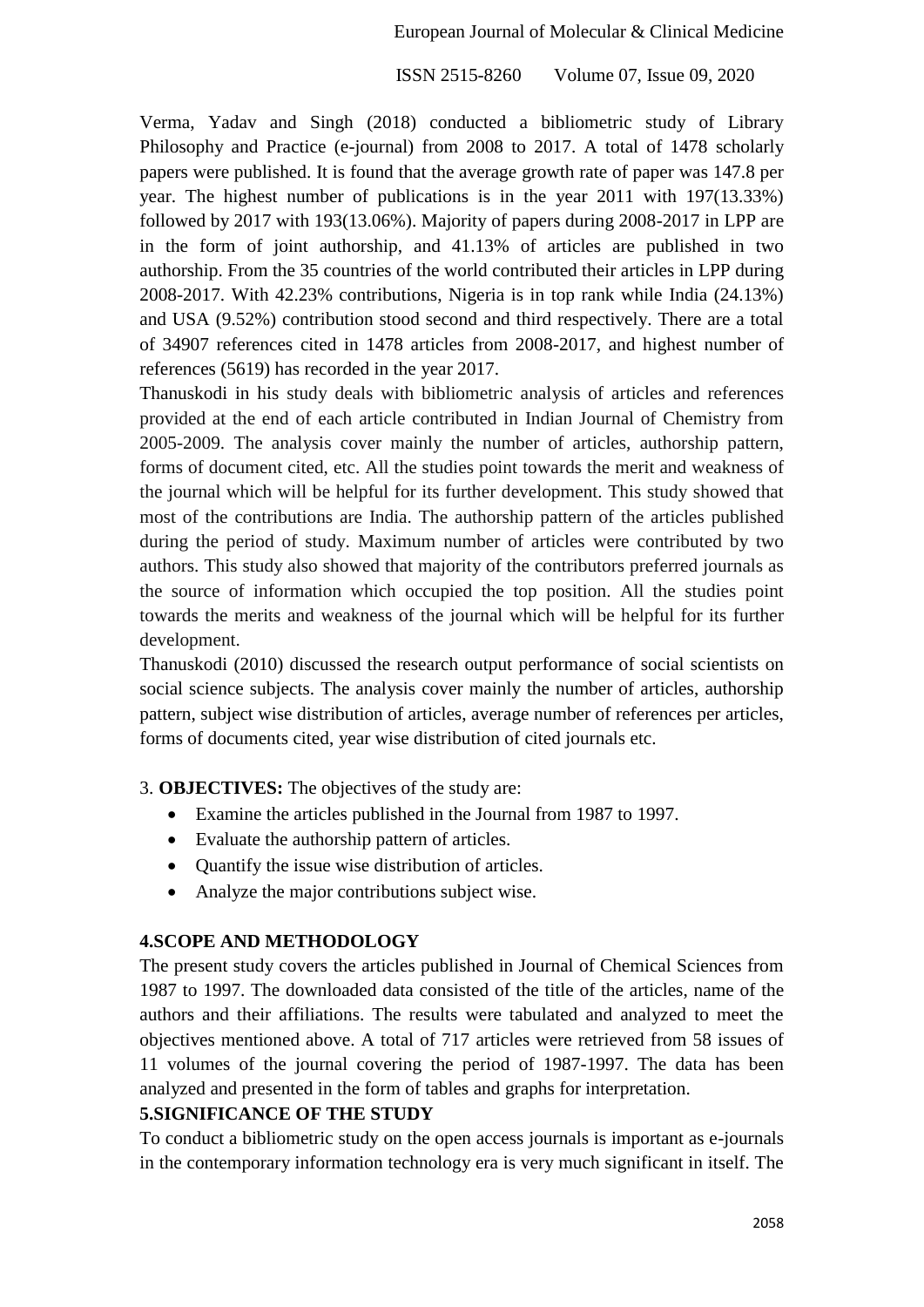Verma, Yadav and Singh (2018) conducted a bibliometric study of Library Philosophy and Practice (e-journal) from 2008 to 2017. A total of 1478 scholarly papers were published. It is found that the average growth rate of paper was 147.8 per year. The highest number of publications is in the year 2011 with 197(13.33%) followed by 2017 with 193(13.06%). Majority of papers during 2008-2017 in LPP are in the form of joint authorship, and 41.13% of articles are published in two authorship. From the 35 countries of the world contributed their articles in LPP during 2008-2017. With 42.23% contributions, Nigeria is in top rank while India (24.13%) and USA (9.52%) contribution stood second and third respectively. There are a total of 34907 references cited in 1478 articles from 2008-2017, and highest number of references (5619) has recorded in the year 2017.

Thanuskodi in his study deals with bibliometric analysis of articles and references provided at the end of each article contributed in Indian Journal of Chemistry from 2005-2009. The analysis cover mainly the number of articles, authorship pattern, forms of document cited, etc. All the studies point towards the merit and weakness of the journal which will be helpful for its further development. This study showed that most of the contributions are India. The authorship pattern of the articles published during the period of study. Maximum number of articles were contributed by two authors. This study also showed that majority of the contributors preferred journals as the source of information which occupied the top position. All the studies point towards the merits and weakness of the journal which will be helpful for its further development.

Thanuskodi (2010) discussed the research output performance of social scientists on social science subjects. The analysis cover mainly the number of articles, authorship pattern, subject wise distribution of articles, average number of references per articles, forms of documents cited, year wise distribution of cited journals etc.

3. **OBJECTIVES:** The objectives of the study are:

- Examine the articles published in the Journal from 1987 to 1997.
- Evaluate the authorship pattern of articles.
- Quantify the issue wise distribution of articles.
- Analyze the major contributions subject wise.

# **4.SCOPE AND METHODOLOGY**

The present study covers the articles published in Journal of Chemical Sciences from 1987 to 1997. The downloaded data consisted of the title of the articles, name of the authors and their affiliations. The results were tabulated and analyzed to meet the objectives mentioned above. A total of 717 articles were retrieved from 58 issues of 11 volumes of the journal covering the period of 1987-1997. The data has been analyzed and presented in the form of tables and graphs for interpretation.

# **5.SIGNIFICANCE OF THE STUDY**

To conduct a bibliometric study on the open access journals is important as e-journals in the contemporary information technology era is very much significant in itself. The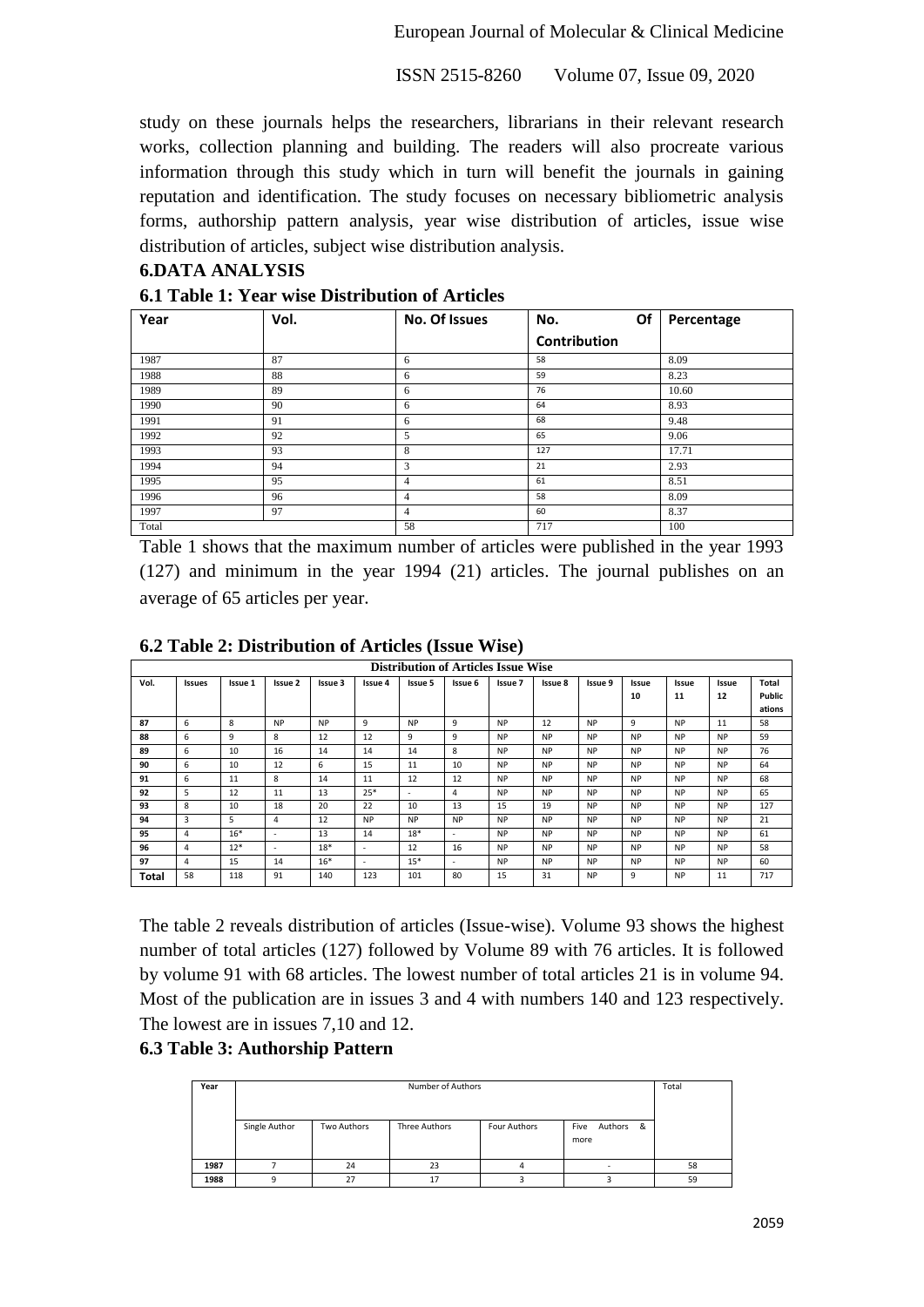European Journal of Molecular & Clinical Medicine

ISSN 2515-8260 Volume 07, Issue 09, 2020

study on these journals helps the researchers, librarians in their relevant research works, collection planning and building. The readers will also procreate various information through this study which in turn will benefit the journals in gaining reputation and identification. The study focuses on necessary bibliometric analysis forms, authorship pattern analysis, year wise distribution of articles, issue wise distribution of articles, subject wise distribution analysis.

## **6.DATA ANALYSIS**

| Year  | Vol. | No. Of Issues | Of<br>No.    | Percentage |
|-------|------|---------------|--------------|------------|
|       |      |               | Contribution |            |
| 1987  | 87   | 6             | 58           | 8.09       |
| 1988  | 88   | 6             | 59           | 8.23       |
| 1989  | 89   | 6             | 76           | 10.60      |
| 1990  | 90   | 6             | 64           | 8.93       |
| 1991  | 91   | 6             | 68           | 9.48       |
| 1992  | 92   | 5             | 65           | 9.06       |
| 1993  | 93   | 8             | 127          | 17.71      |
| 1994  | 94   | 3             | 21           | 2.93       |
| 1995  | 95   | 4             | 61           | 8.51       |
| 1996  | 96   | 4             | 58           | 8.09       |
| 1997  | 97   | 4             | 60           | 8.37       |
| Total |      | 58            | 717          | 100        |

#### **6.1 Table 1: Year wise Distribution of Articles**

Table 1 shows that the maximum number of articles were published in the year 1993 (127) and minimum in the year 1994 (21) articles. The journal publishes on an average of 65 articles per year.

|       | <b>Distribution of Articles Issue Wise</b> |         |           |           |           |           |           |           |           |           |           |           |           |        |
|-------|--------------------------------------------|---------|-----------|-----------|-----------|-----------|-----------|-----------|-----------|-----------|-----------|-----------|-----------|--------|
| Vol.  | <b>Issues</b>                              | Issue 1 | Issue 2   | Issue 3   | Issue 4   | Issue 5   | Issue 6   | Issue 7   | Issue 8   | Issue 9   | Issue     | Issue     | Issue     | Total  |
|       |                                            |         |           |           |           |           |           |           |           |           | 10        | 11        | 12        | Public |
|       |                                            |         |           |           |           |           |           |           |           |           |           |           |           | ations |
| 87    | 6                                          | 8       | <b>NP</b> | <b>NP</b> | 9         | <b>NP</b> | 9         | <b>NP</b> | 12        | <b>NP</b> | 9         | <b>NP</b> | 11        | 58     |
| 88    | 6                                          | 9       | 8         | 12        | 12        | 9         | 9         | <b>NP</b> | <b>NP</b> | <b>NP</b> | <b>NP</b> | <b>NP</b> | <b>NP</b> | 59     |
| 89    | 6                                          | 10      | 16        | 14        | 14        | 14        | 8         | <b>NP</b> | <b>NP</b> | <b>NP</b> | <b>NP</b> | <b>NP</b> | <b>NP</b> | 76     |
| 90    | 6                                          | 10      | 12        | 6         | 15        | 11        | 10        | <b>NP</b> | <b>NP</b> | <b>NP</b> | <b>NP</b> | <b>NP</b> | <b>NP</b> | 64     |
| 91    | 6                                          | 11      | 8         | 14        | 11        | 12        | 12        | <b>NP</b> | <b>NP</b> | <b>NP</b> | <b>NP</b> | <b>NP</b> | <b>NP</b> | 68     |
| 92    | 5                                          | 12      | 11        | 13        | $25*$     | $\sim$    | 4         | <b>NP</b> | <b>NP</b> | <b>NP</b> | <b>NP</b> | <b>NP</b> | <b>NP</b> | 65     |
| 93    | 8                                          | 10      | 18        | 20        | 22        | 10        | 13        | 15        | 19        | <b>NP</b> | <b>NP</b> | <b>NP</b> | <b>NP</b> | 127    |
| 94    | 3                                          | 5       | 4         | 12        | <b>NP</b> | <b>NP</b> | <b>NP</b> | <b>NP</b> | <b>NP</b> | <b>NP</b> | <b>NP</b> | <b>NP</b> | <b>NP</b> | 21     |
| 95    | 4                                          | $16*$   | ٠         | 13        | 14        | $18*$     | $\sim$    | <b>NP</b> | <b>NP</b> | <b>NP</b> | <b>NP</b> | <b>NP</b> | <b>NP</b> | 61     |
| 96    | 4                                          | $12*$   | $\sim$    | $18*$     | $\sim$    | 12        | 16        | <b>NP</b> | <b>NP</b> | <b>NP</b> | <b>NP</b> | <b>NP</b> | <b>NP</b> | 58     |
| 97    | 4                                          | 15      | 14        | $16*$     | $\sim$    | $15*$     |           | <b>NP</b> | <b>NP</b> | <b>NP</b> | <b>NP</b> | <b>NP</b> | <b>NP</b> | 60     |
| Total | 58                                         | 118     | 91        | 140       | 123       | 101       | 80        | 15        | 31        | <b>NP</b> | 9         | <b>NP</b> | 11        | 717    |

#### **6.2 Table 2: Distribution of Articles (Issue Wise)**

The table 2 reveals distribution of articles (Issue-wise). Volume 93 shows the highest number of total articles (127) followed by Volume 89 with 76 articles. It is followed by volume 91 with 68 articles. The lowest number of total articles 21 is in volume 94. Most of the publication are in issues 3 and 4 with numbers 140 and 123 respectively. The lowest are in issues 7,10 and 12.

## **6.3 Table 3: Authorship Pattern**

| Year |               | Number of Authors |               |              |                           |    |  |  |  |  |  |  |  |
|------|---------------|-------------------|---------------|--------------|---------------------------|----|--|--|--|--|--|--|--|
|      | Single Author | Two Authors       | Three Authors | Four Authors | Authors &<br>Five<br>more |    |  |  |  |  |  |  |  |
| 1987 |               | 24                | 23            |              |                           | 58 |  |  |  |  |  |  |  |
| 1988 |               | 27                | 17            |              |                           | 59 |  |  |  |  |  |  |  |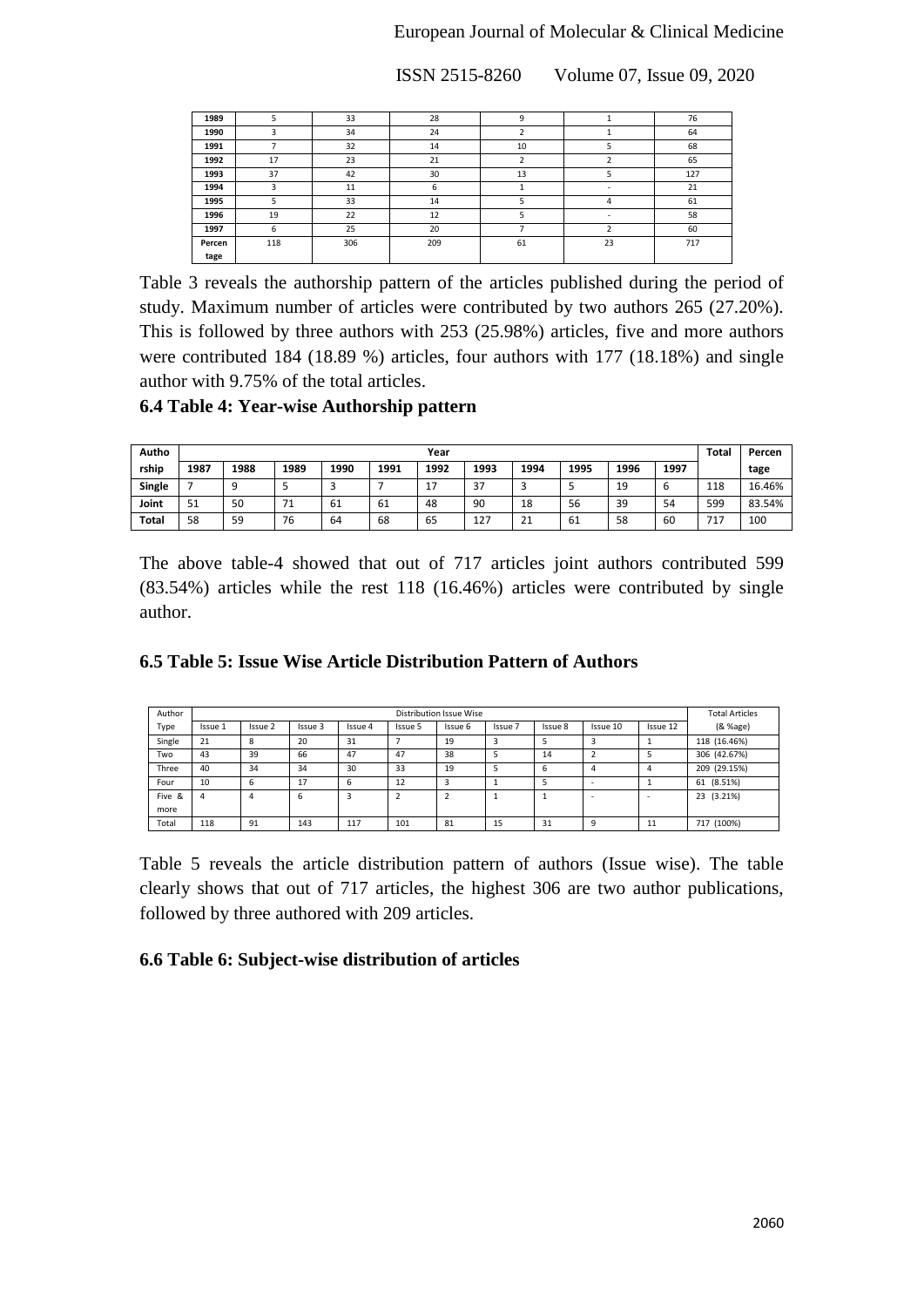## European Journal of Molecular & Clinical Medicine

ISSN 2515-8260 Volume 07, Issue 09, 2020

| 1989   |     | 33  | 28  | 9  |    | 76  |
|--------|-----|-----|-----|----|----|-----|
| 1990   | ς   | 34  | 24  |    |    | 64  |
| 1991   |     | 32  | 14  | 10 |    | 68  |
| 1992   | 17  | 23  | 21  |    |    | 65  |
| 1993   | 37  | 42  | 30  | 13 |    | 127 |
| 1994   | ς   | 11  | 6   |    |    | 21  |
| 1995   | 5   | 33  | 14  | 5  | 4  | 61  |
| 1996   | 19  | 22  | 12  |    | ٠  | 58  |
| 1997   | 6   | 25  | 20  |    | n. | 60  |
| Percen | 118 | 306 | 209 | 61 | 23 | 717 |
| tage   |     |     |     |    |    |     |

Table 3 reveals the authorship pattern of the articles published during the period of study. Maximum number of articles were contributed by two authors 265 (27.20%). This is followed by three authors with 253 (25.98%) articles, five and more authors were contributed 184 (18.89 %) articles, four authors with 177 (18.18%) and single author with 9.75% of the total articles.

## **6.4 Table 4: Year-wise Authorship pattern**

| Autho        |      | Year |      |      |      |      |      |                    |      |      |      |     |        |
|--------------|------|------|------|------|------|------|------|--------------------|------|------|------|-----|--------|
| rship        | 1987 | 1988 | 1989 | 1990 | 1991 | 1992 | 1993 | 1994               | 1995 | 1996 | 1997 |     | tage   |
| Single       |      | a    |      |      |      | 17   | 37   | ر                  |      | 19   | ь    | 118 | 16.46% |
| Joint        | 51   | 50   | 71   | -61  | 61   | 48   | 90   | 18                 | 56   | 39   | 54   | 599 | 83.54% |
| <b>Total</b> | 58   | 59   | 76   | 64   | 68   | 65   | 127  | 24<br>$\mathbf{L}$ | 61   | 58   | 60   | 717 | 100    |

The above table-4 showed that out of 717 articles joint authors contributed 599 (83.54%) articles while the rest 118 (16.46%) articles were contributed by single author.

|  |  |  |  | 6.5 Table 5: Issue Wise Article Distribution Pattern of Authors |  |  |
|--|--|--|--|-----------------------------------------------------------------|--|--|
|--|--|--|--|-----------------------------------------------------------------|--|--|

| Author |         |         |         |         |         | Distribution Issue Wise |         |         |          |          | <b>Total Articles</b> |
|--------|---------|---------|---------|---------|---------|-------------------------|---------|---------|----------|----------|-----------------------|
| Type   | Issue 1 | Issue 2 | Issue 3 | Issue 4 | Issue 5 | Issue 6                 | Issue 7 | Issue 8 | Issue 10 | Issue 12 | (& %age)              |
| Single | 21      | 8       | 20      | 31      |         | 19                      |         |         |          |          | 118 (16.46%)          |
| Two    | 43      | 39      | 66      | 47      | 47      | 38                      |         | 14      |          |          | 306 (42.67%)          |
| Three  | 40      | 34      | 34      | 30      | 33      | 19                      |         | 6       | 4        | 4        | 209 (29.15%)          |
| Four   | 10      | 6       | 17      | 6       | 12      |                         |         |         |          |          | 61 (8.51%)            |
| Five & | 4       | 4       | 6       | 3       |         |                         |         |         |          | -        | 23 (3.21%)            |
| more   |         |         |         |         |         |                         |         |         |          |          |                       |
| Total  | 118     | 91      | 143     | 117     | 101     | 81                      | 15      | 31      | c        | 11       | 717 (100%)            |

Table 5 reveals the article distribution pattern of authors (Issue wise). The table clearly shows that out of 717 articles, the highest 306 are two author publications, followed by three authored with 209 articles.

# **6.6 Table 6: Subject-wise distribution of articles**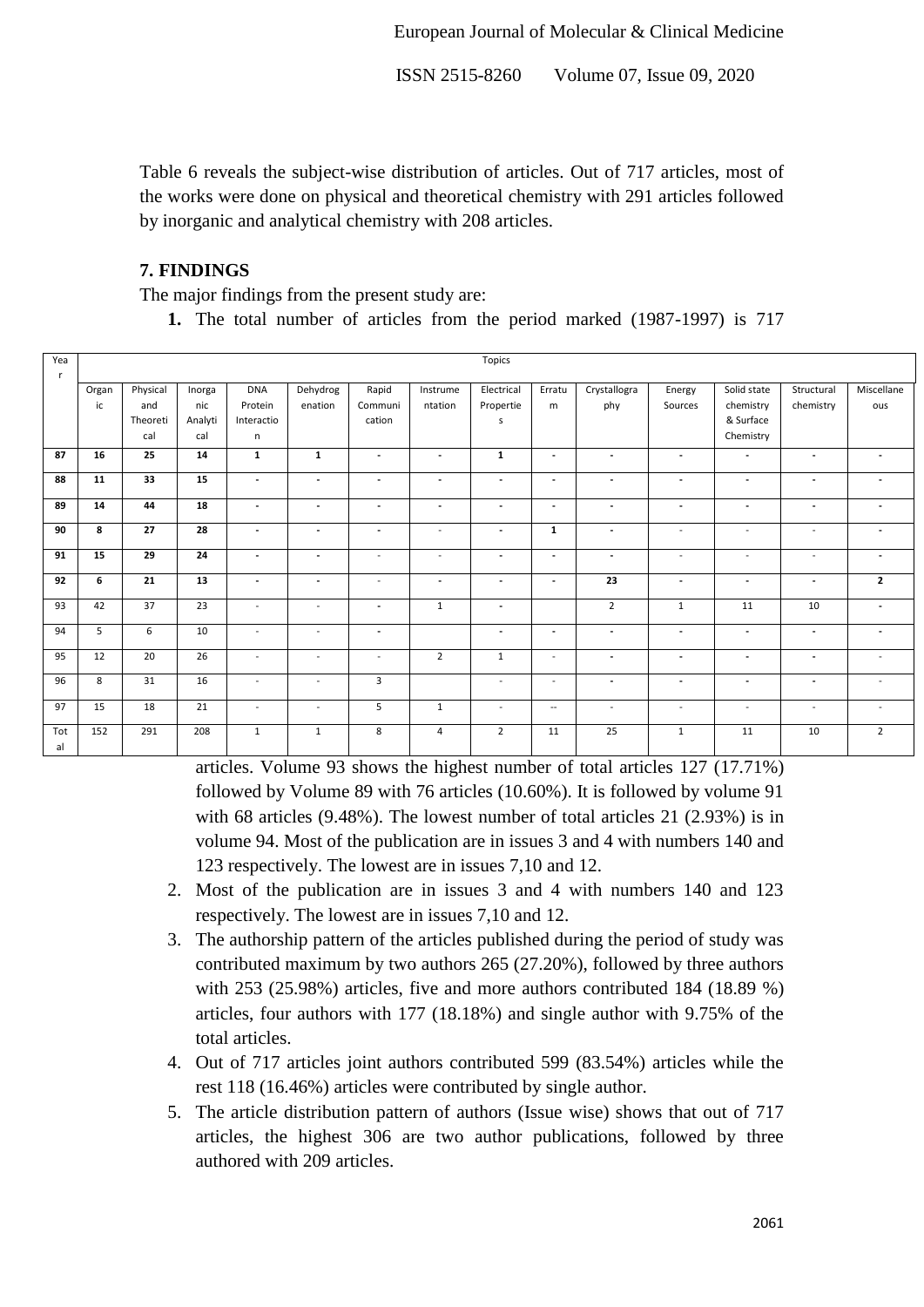Table 6 reveals the subject-wise distribution of articles. Out of 717 articles, most of the works were done on physical and theoretical chemistry with 291 articles followed by inorganic and analytical chemistry with 208 articles.

## **7. FINDINGS**

The major findings from the present study are:

**1.** The total number of articles from the period marked (1987-1997) is 717

| Yea<br><b>r</b> |             |                                    |                                 |                                          |                          |                            |                          | Topics                       |                          |                          |                          |                                                    |                          |                          |
|-----------------|-------------|------------------------------------|---------------------------------|------------------------------------------|--------------------------|----------------------------|--------------------------|------------------------------|--------------------------|--------------------------|--------------------------|----------------------------------------------------|--------------------------|--------------------------|
|                 | Organ<br>ic | Physical<br>and<br>Theoreti<br>cal | Inorga<br>nic<br>Analyti<br>cal | <b>DNA</b><br>Protein<br>Interactio<br>n | Dehydrog<br>enation      | Rapid<br>Communi<br>cation | Instrume<br>ntation      | Electrical<br>Propertie<br>s | Erratu<br>m              | Crystallogra<br>phy      | Energy<br>Sources        | Solid state<br>chemistry<br>& Surface<br>Chemistry | Structural<br>chemistry  | Miscellane<br>ous        |
| 87              | 16          | 25                                 | 14                              | $\mathbf{1}$                             | $\mathbf{1}$             | $\overline{\phantom{a}}$   | $\overline{\phantom{a}}$ | $\mathbf{1}$                 | $\overline{\phantom{a}}$ | $\overline{\phantom{a}}$ | $\overline{\phantom{a}}$ | $\blacksquare$                                     | $\overline{\phantom{a}}$ | $\overline{\phantom{a}}$ |
| 88              | 11          | 33                                 | 15                              | $\overline{\phantom{a}}$                 | $\overline{\phantom{a}}$ | $\blacksquare$             | $\overline{\phantom{a}}$ | $\overline{\phantom{a}}$     | $\overline{\phantom{a}}$ | $\overline{\phantom{a}}$ | $\overline{\phantom{a}}$ | $\blacksquare$                                     | $\overline{\phantom{a}}$ | $\overline{\phantom{a}}$ |
| 89              | 14          | 44                                 | 18                              | $\overline{\phantom{a}}$                 | $\overline{\phantom{a}}$ | $\overline{\phantom{a}}$   | $\overline{\phantom{a}}$ | $\overline{\phantom{a}}$     | $\overline{\phantom{a}}$ | $\overline{\phantom{a}}$ | $\overline{\phantom{a}}$ | $\overline{\phantom{a}}$                           | $\overline{\phantom{a}}$ |                          |
| 90              | 8           | 27                                 | 28                              | $\overline{\phantom{a}}$                 | $\blacksquare$           | $\overline{\phantom{a}}$   | $\sim$                   | $\overline{\phantom{a}}$     | $\mathbf{1}$             | $\overline{\phantom{a}}$ | $\sim$                   | $\sim$                                             | $\overline{\phantom{a}}$ | $\blacksquare$           |
| 91              | 15          | 29                                 | 24                              | $\overline{\phantom{a}}$                 | $\overline{a}$           | $\overline{\phantom{a}}$   | $\overline{\phantom{a}}$ | $\overline{\phantom{a}}$     | $\overline{\phantom{a}}$ | $\overline{\phantom{a}}$ | $\overline{\phantom{a}}$ | $\overline{\phantom{a}}$                           | $\overline{\phantom{0}}$ | $\overline{\phantom{a}}$ |
| 92              | 6           | 21                                 | 13                              | $\overline{\phantom{a}}$                 | $\blacksquare$           | $\sim$                     | $\overline{\phantom{a}}$ | $\overline{\phantom{a}}$     | $\overline{\phantom{a}}$ | 23                       | $\overline{\phantom{a}}$ | $\overline{\phantom{a}}$                           | $\overline{\phantom{a}}$ | $\overline{2}$           |
| 93              | 42          | 37                                 | 23                              | $\sim$                                   | $\overline{\phantom{a}}$ | $\sim$                     | $\mathbf{1}$             | $\overline{\phantom{a}}$     |                          | $\overline{2}$           | $\mathbf{1}$             | 11                                                 | 10                       | $\overline{\phantom{a}}$ |
| 94              | 5           | 6                                  | 10                              | $\overline{\phantom{a}}$                 | $\overline{a}$           | $\blacksquare$             |                          | $\overline{\phantom{a}}$     | $\overline{\phantom{a}}$ | $\overline{\phantom{a}}$ | $\blacksquare$           | $\overline{\phantom{a}}$                           | $\overline{\phantom{a}}$ | $\overline{\phantom{a}}$ |
| 95              | 12          | 20                                 | 26                              | $\sim$                                   | $\overline{a}$           | $\sim$                     | $\overline{2}$           | $\mathbf{1}$                 | $\sim$                   | $\overline{\phantom{a}}$ | $\blacksquare$           | $\overline{\phantom{a}}$                           | $\overline{\phantom{a}}$ | $\sim$                   |
| 96              | 8           | 31                                 | 16                              | $\sim$                                   | $\overline{a}$           | $\overline{3}$             |                          | $\sim$                       | $\sim$                   | $\overline{\phantom{a}}$ | $\overline{\phantom{a}}$ | $\overline{\phantom{a}}$                           | $\overline{\phantom{a}}$ | $\sim$                   |
| 97              | 15          | 18                                 | 21                              | $\overline{a}$                           | $\overline{a}$           | 5                          | $\mathbf{1}$             | $\overline{\phantom{a}}$     | $\overline{\phantom{a}}$ | $\sim$                   | $\sim$                   | $\overline{\phantom{a}}$                           | $\overline{\phantom{0}}$ | $\overline{\phantom{a}}$ |
| Tot<br>al       | 152         | 291                                | 208                             | $\mathbf{1}$                             | 1                        | 8                          | 4                        | $\overline{2}$               | 11                       | 25                       | $\mathbf{1}$             | 11                                                 | 10                       | $\overline{2}$           |

articles. Volume 93 shows the highest number of total articles 127 (17.71%) followed by Volume 89 with 76 articles (10.60%). It is followed by volume 91 with 68 articles (9.48%). The lowest number of total articles 21 (2.93%) is in volume 94. Most of the publication are in issues 3 and 4 with numbers 140 and 123 respectively. The lowest are in issues 7,10 and 12.

- 2. Most of the publication are in issues 3 and 4 with numbers 140 and 123 respectively. The lowest are in issues 7,10 and 12.
- 3. The authorship pattern of the articles published during the period of study was contributed maximum by two authors 265 (27.20%), followed by three authors with 253 (25.98%) articles, five and more authors contributed 184 (18.89 %) articles, four authors with 177 (18.18%) and single author with 9.75% of the total articles.
- 4. Out of 717 articles joint authors contributed 599 (83.54%) articles while the rest 118 (16.46%) articles were contributed by single author.
- 5. The article distribution pattern of authors (Issue wise) shows that out of 717 articles, the highest 306 are two author publications, followed by three authored with 209 articles.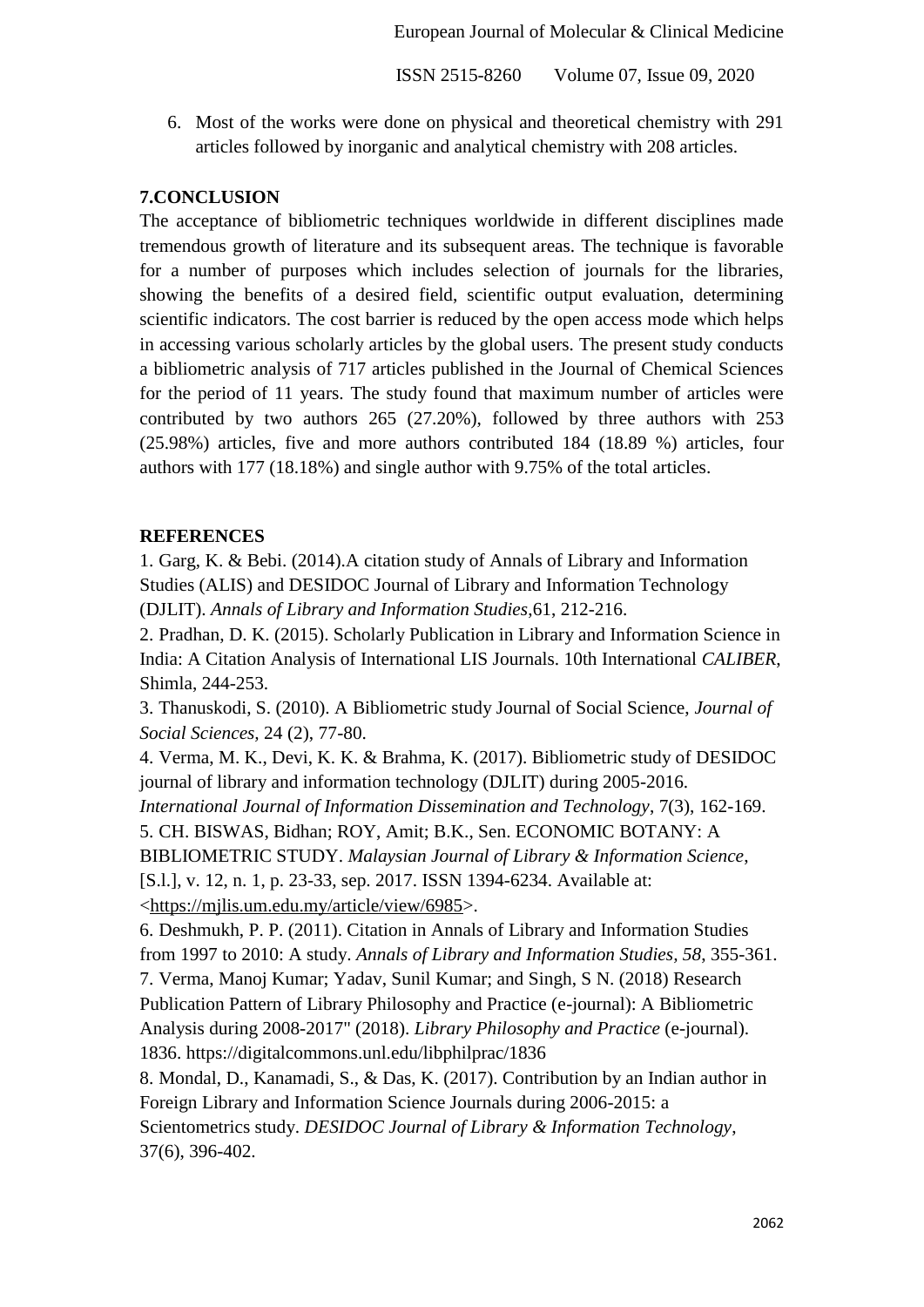6. Most of the works were done on physical and theoretical chemistry with 291 articles followed by inorganic and analytical chemistry with 208 articles.

## **7.CONCLUSION**

The acceptance of bibliometric techniques worldwide in different disciplines made tremendous growth of literature and its subsequent areas. The technique is favorable for a number of purposes which includes selection of journals for the libraries, showing the benefits of a desired field, scientific output evaluation, determining scientific indicators. The cost barrier is reduced by the open access mode which helps in accessing various scholarly articles by the global users. The present study conducts a bibliometric analysis of 717 articles published in the Journal of Chemical Sciences for the period of 11 years. The study found that maximum number of articles were contributed by two authors 265 (27.20%), followed by three authors with 253 (25.98%) articles, five and more authors contributed 184 (18.89 %) articles, four authors with 177 (18.18%) and single author with 9.75% of the total articles.

## **REFERENCES**

1. Garg, K. & Bebi. (2014).A citation study of Annals of Library and Information Studies (ALIS) and DESIDOC Journal of Library and Information Technology (DJLIT). *Annals of Library and Information Studies*,61, 212-216.

2. Pradhan, D. K. (2015). Scholarly Publication in Library and Information Science in India: A Citation Analysis of International LIS Journals. 10th International *CALIBER*, Shimla, 244-253.

3. Thanuskodi, S. (2010). A Bibliometric study Journal of Social Science, *Journal of Social Sciences,* 24 (2), 77-80.

4. Verma, M. K., Devi, K. K. & Brahma, K. (2017). Bibliometric study of DESIDOC journal of library and information technology (DJLIT) during 2005-2016. *International Journal of Information Dissemination and Technology*, 7(3), 162-169. 5. CH. BISWAS, Bidhan; ROY, Amit; B.K., Sen. ECONOMIC BOTANY: A BIBLIOMETRIC STUDY. *Malaysian Journal of Library & Information Science*, [S.l.], v. 12, n. 1, p. 23-33, sep. 2017. ISSN 1394-6234. Available at: <https://mjlis.um.edu.my/article/view/6985>.

6. Deshmukh, P. P. (2011). Citation in Annals of Library and Information Studies from 1997 to 2010: A study. *Annals of Library and Information Studies, 58*, 355-361. 7. Verma, Manoj Kumar; Yadav, Sunil Kumar; and Singh, S N. (2018) Research Publication Pattern of Library Philosophy and Practice (e-journal): A Bibliometric Analysis during 2008-2017" (2018). *Library Philosophy and Practice* (e-journal). 1836. https://digitalcommons.unl.edu/libphilprac/1836

8. Mondal, D., Kanamadi, S., & Das, K. (2017). Contribution by an Indian author in Foreign Library and Information Science Journals during 2006-2015: a Scientometrics study. *DESIDOC Journal of Library & Information Technology*, 37(6), 396-402.